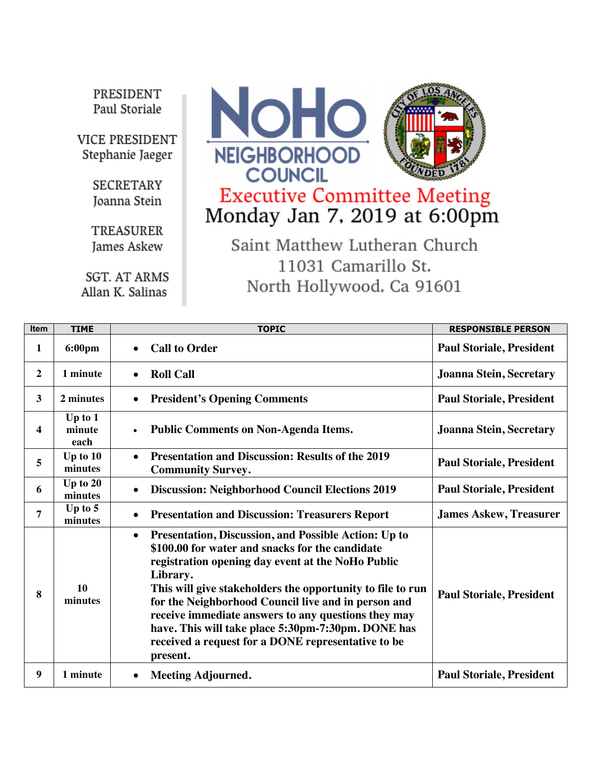PRESIDENT Paul Storiale

**VICE PRESIDENT** Stephanie Jaeger

> **SECRETARY** Joanna Stein

> TREASURER James Askew

**SGT. AT ARMS** Allan K. Salinas



## Executive Committee Meeting<br>Monday Jan 7, 2019 at 6:00pm

Saint Matthew Lutheran Church 11031 Camarillo St. North Hollywood, Ca 91601

| Item           | <b>TIME</b>                 | <b>TOPIC</b>                                                                                                                                                                                                                                                                                                                                                                                                                                                                              | <b>RESPONSIBLE PERSON</b>       |
|----------------|-----------------------------|-------------------------------------------------------------------------------------------------------------------------------------------------------------------------------------------------------------------------------------------------------------------------------------------------------------------------------------------------------------------------------------------------------------------------------------------------------------------------------------------|---------------------------------|
| 1              | 6:00pm                      | <b>Call to Order</b><br>$\bullet$                                                                                                                                                                                                                                                                                                                                                                                                                                                         | <b>Paul Storiale, President</b> |
| $\overline{2}$ | 1 minute                    | <b>Roll Call</b><br>$\bullet$                                                                                                                                                                                                                                                                                                                                                                                                                                                             | <b>Joanna Stein, Secretary</b>  |
| 3              | 2 minutes                   | <b>President's Opening Comments</b>                                                                                                                                                                                                                                                                                                                                                                                                                                                       | <b>Paul Storiale, President</b> |
| 4              | Up to $1$<br>minute<br>each | <b>Public Comments on Non-Agenda Items.</b><br>$\bullet$                                                                                                                                                                                                                                                                                                                                                                                                                                  | <b>Joanna Stein, Secretary</b>  |
| 5              | Up to $10$<br>minutes       | <b>Presentation and Discussion: Results of the 2019</b><br>$\bullet$<br><b>Community Survey.</b>                                                                                                                                                                                                                                                                                                                                                                                          | <b>Paul Storiale, President</b> |
| 6              | Up to $20$<br>minutes       | <b>Discussion: Neighborhood Council Elections 2019</b><br>$\bullet$                                                                                                                                                                                                                                                                                                                                                                                                                       | <b>Paul Storiale, President</b> |
| 7              | Up to $5$<br>minutes        | <b>Presentation and Discussion: Treasurers Report</b>                                                                                                                                                                                                                                                                                                                                                                                                                                     | <b>James Askew, Treasurer</b>   |
| 8              | 10<br>minutes               | Presentation, Discussion, and Possible Action: Up to<br>$\bullet$<br>\$100.00 for water and snacks for the candidate<br>registration opening day event at the NoHo Public<br>Library.<br>This will give stakeholders the opportunity to file to run<br>for the Neighborhood Council live and in person and<br>receive immediate answers to any questions they may<br>have. This will take place 5:30pm-7:30pm. DONE has<br>received a request for a DONE representative to be<br>present. | <b>Paul Storiale, President</b> |
| 9              | 1 minute                    | <b>Meeting Adjourned.</b>                                                                                                                                                                                                                                                                                                                                                                                                                                                                 | <b>Paul Storiale, President</b> |